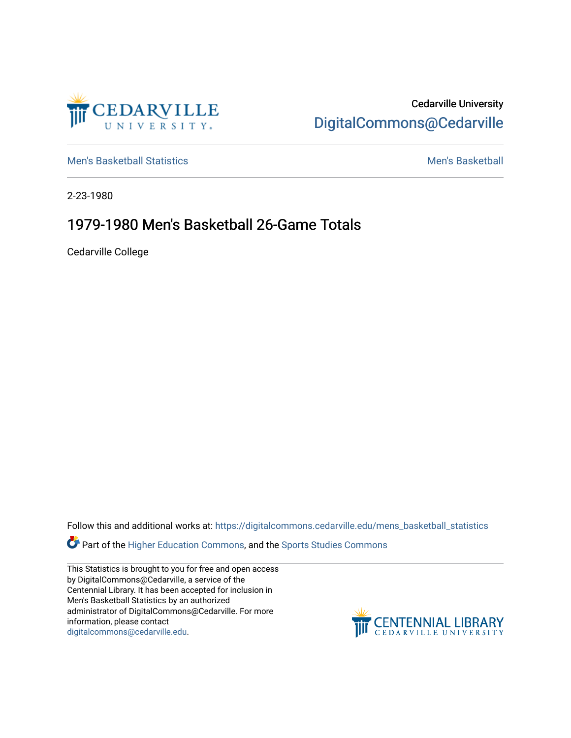

Cedarville University [DigitalCommons@Cedarville](https://digitalcommons.cedarville.edu/) 

[Men's Basketball Statistics](https://digitalcommons.cedarville.edu/mens_basketball_statistics) [Men's Basketball](https://digitalcommons.cedarville.edu/mens_basketball) 

2-23-1980

## 1979-1980 Men's Basketball 26-Game Totals

Cedarville College

Follow this and additional works at: [https://digitalcommons.cedarville.edu/mens\\_basketball\\_statistics](https://digitalcommons.cedarville.edu/mens_basketball_statistics?utm_source=digitalcommons.cedarville.edu%2Fmens_basketball_statistics%2F295&utm_medium=PDF&utm_campaign=PDFCoverPages) 

Part of the [Higher Education Commons,](http://network.bepress.com/hgg/discipline/1245?utm_source=digitalcommons.cedarville.edu%2Fmens_basketball_statistics%2F295&utm_medium=PDF&utm_campaign=PDFCoverPages) and the Sports Studies Commons

This Statistics is brought to you for free and open access by DigitalCommons@Cedarville, a service of the Centennial Library. It has been accepted for inclusion in Men's Basketball Statistics by an authorized administrator of DigitalCommons@Cedarville. For more information, please contact [digitalcommons@cedarville.edu](mailto:digitalcommons@cedarville.edu).